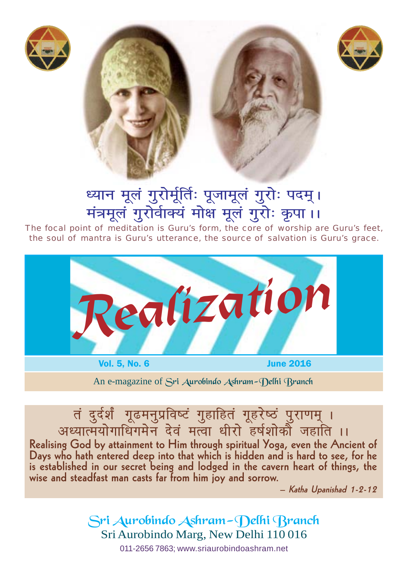





# ध्यान मूलं गुरोर्मूर्तिः पूजामूलं गुरोः पदम्। मंत्रमूलं गुरोर्वाक्यं मोक्षं मूलं गुरोः कृपा ।।

*The focal point of meditation is Guru's form, the core of worship are Guru's feet, the soul of mantra is Guru's utterance, the source of salvation is Guru's grace.*



An e-magazine of Sri Aurobindo Ashram-Delhi Branch

ा तं दुर्दर्शं गूढमनुप्रविष्टं गुहाहितं गूहरेष्ठं पुराणम् ।<br>अध्यात्मयोगाधिगमेन देवं मत्वा धीरो हर्षशोकौ जहाति ।। **Realising God by attainment to Him through spiritual Yoga, even the Ancient of Days who hath entered deep into that which is hidden and is hard to see, for he is established in our secret being and lodged in the cavern heart of things, the wise and steadfast man casts far from him joy and sorrow.– Katha Upanishad 1-2-12**

Sri Aurobindo Ashram-Delhi Branch Sri Aurobindo Marg, New Delhi 110 016

011-2656 7863; www.sriaurobindoashram.net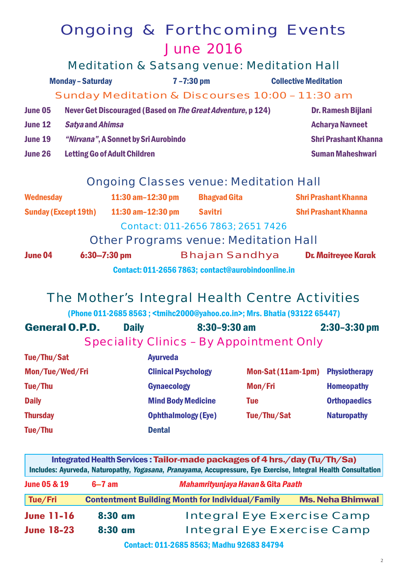# Ongoing & Forthcoming Events June 2016

Meditation & *Satsang* venue: Meditation Hall

Monday – Saturday **7 – 7:30 pm** Collective Meditation Sunday Meditation & Discourses 10:00 – 11:30 am June 05 Never Get Discouraged (Based on The Great Adventure, p 124) Dr. Ramesh Bijlani

**June 12** Satya and Ahimsa Acharya Navneet Acharya Navneet Acharya Navneet Acharya Navneet Acharya Navneet Acharya Navneet Acharya Navneet Acharya Navneet Acharya Navneet Acharya Navneet Acharya Navneet Acharya Navneet Ach June 19 "*Nirvana"*, A Sonnet by Sri Aurobindo Shri Prashant Khanna June 26 Letting Go of Adult Children Suman Maheshwari Suman Maheshwari

#### Ongoing Classes venue: Meditation Hall

| <b>Wednesday</b>                      |  | 11:30 am-12:30 pm   |  | <b>Bhagvad Gita</b>                                |  | <b>Shri Prashant Khanna</b> |  |
|---------------------------------------|--|---------------------|--|----------------------------------------------------|--|-----------------------------|--|
| <b>Sunday (Except 19th)</b>           |  | 11:30 $am-12:30$ pm |  | <b>Savitri</b>                                     |  | <b>Shri Prashant Khanna</b> |  |
| Contact: 011-2656 7863; 2651 7426     |  |                     |  |                                                    |  |                             |  |
| Other Programs venue: Meditation Hall |  |                     |  |                                                    |  |                             |  |
| June 04                               |  | $6:30 - 7:30$ pm    |  | <b>Bhajan Sandhya</b>                              |  | <b>Dr. Maitreyee Karak</b>  |  |
|                                       |  |                     |  | Contact: 011-2656 7863; contact@aurobindoonline.in |  |                             |  |

## The Mother's Integral Health Centre Activities

(Phone 011-2685 8563 ; <tmihc2000@yahoo.co.in>; Mrs. Bhatia (93122 65447)

| <b>General O.P.D.</b> | <b>Daily</b>       | $8:30 - 9:30$ am           | $2:30-3:30$ pm                                  |                      |
|-----------------------|--------------------|----------------------------|-------------------------------------------------|----------------------|
|                       |                    |                            | <b>Speciality Clinics - By Appointment Only</b> |                      |
| Tue/Thu/Sat           | <b>Ayurveda</b>    |                            |                                                 |                      |
| Mon/Tue/Wed/Fri       |                    | <b>Clinical Psychology</b> | Mon-Sat (11am-1pm)                              | <b>Physiotherapy</b> |
| Tue/Thu               | <b>Gynaecology</b> |                            | Mon/Fri                                         | <b>Homeopathy</b>    |
| <b>Daily</b>          |                    | <b>Mind Body Medicine</b>  | <b>Tue</b>                                      | <b>Orthopaedics</b>  |
| <b>Thursday</b>       |                    | <b>Ophthalmology (Eye)</b> | Tue/Thu/Sat                                     | <b>Naturopathy</b>   |

Tue/Thu Dental

| Integrated Health Services: Tailor-made packages of 4 hrs./day (Tu/Th/Sa)<br>Includes: Ayurveda, Naturopathy, <i>Yogasana, Pranayama</i> , Accupressure, Eye Exercise, Integral Health Consultation |            |                                                         |                         |  |
|-----------------------------------------------------------------------------------------------------------------------------------------------------------------------------------------------------|------------|---------------------------------------------------------|-------------------------|--|
| <b>June 05 &amp; 19</b>                                                                                                                                                                             | $6 - 7$ am | Mahamrityunjaya Havan & Gita Paath                      |                         |  |
| Tue/Fri                                                                                                                                                                                             |            | <b>Contentment Building Month for Individual/Family</b> | <b>Ms. Neha Bhimwal</b> |  |
| <b>June 11-16</b>                                                                                                                                                                                   | 8:30 am    | Integral Eye Exercise Camp                              |                         |  |
| <b>June 18-23</b>                                                                                                                                                                                   | 8:30 am    | Integral Eye Exercise Camp                              |                         |  |
|                                                                                                                                                                                                     |            |                                                         |                         |  |

Contact: 011-2685 8563; Madhu 92683 84794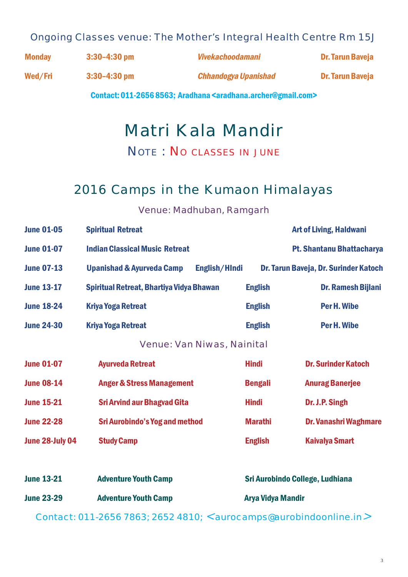Ongoing Classes venue: The Mother's Integral Health Centre Rm 15J

Monday 3:30–4:30 pm Vivekachoodamani Dr. Tarun Baveja

Wed/Fri 3:30-4:30 pm Chhandogya Upanishad Dr. Tarun Baveja

Contact: 011-2656 8563; Aradhana <aradhana.archer@gmail.com>

# Matri Kala Mandir NOTE : NO CLASSES IN JUNE

## 2016 Camps in the Kumaon Himalayas

#### Venue: Madhuban, Ramgarh

| <b>June 01-05</b>          | <b>Spiritual Retreat</b>                 |               |                                 | <b>Art of Living, Haldwani</b>        |  |  |
|----------------------------|------------------------------------------|---------------|---------------------------------|---------------------------------------|--|--|
| <b>June 01-07</b>          | <b>Indian Classical Music Retreat</b>    |               |                                 | Pt. Shantanu Bhattacharya             |  |  |
| <b>June 07-13</b>          | <b>Upanishad &amp; Ayurveda Camp</b>     | English/HIndi |                                 | Dr. Tarun Baveja, Dr. Surinder Katoch |  |  |
| <b>June 13-17</b>          | Spiritual Retreat, Bhartiya Vidya Bhawan |               | <b>English</b>                  | <b>Dr. Ramesh Bijlani</b>             |  |  |
| <b>June 18-24</b>          | <b>Kriya Yoga Retreat</b>                |               | <b>English</b>                  | <b>Per H. Wibe</b>                    |  |  |
| <b>June 24-30</b>          | <b>Kriya Yoga Retreat</b>                |               | <b>English</b>                  | <b>Per H. Wibe</b>                    |  |  |
| Venue: Van Niwas, Nainital |                                          |               |                                 |                                       |  |  |
| <b>June 01-07</b>          | <b>Ayurveda Retreat</b>                  |               | <b>Hindi</b>                    | <b>Dr. Surinder Katoch</b>            |  |  |
| <b>June 08-14</b>          | <b>Anger &amp; Stress Management</b>     |               | <b>Bengali</b>                  | <b>Anurag Banerjee</b>                |  |  |
| <b>June 15-21</b>          | <b>Sri Arvind aur Bhagvad Gita</b>       |               | <b>Hindi</b>                    | Dr. J.P. Singh                        |  |  |
| <b>June 22-28</b>          | <b>Sri Aurobindo's Yog and method</b>    |               | <b>Marathi</b>                  | <b>Dr. Vanashri Waghmare</b>          |  |  |
| <b>June 28-July 04</b>     | <b>Study Camp</b>                        |               | <b>English</b>                  | <b>Kaivalya Smart</b>                 |  |  |
|                            |                                          |               |                                 |                                       |  |  |
| <b>June 13-21</b>          | <b>Adventure Youth Camp</b>              |               | Sri Aurobindo College, Ludhiana |                                       |  |  |
| <b>June 23-29</b>          | <b>Adventure Youth Camp</b>              |               | <b>Arya Vidya Mandir</b>        |                                       |  |  |

*Contact: 011-2656 7863; 2652 4810;* **<***aurocamps@aurobindoonline.in***>**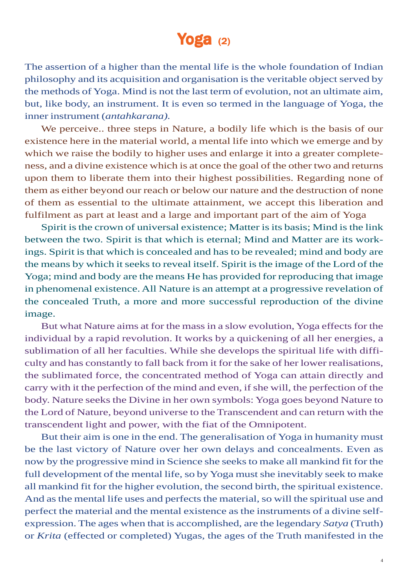# Yoga<sub>(2)</sub>

The assertion of a higher than the mental life is the whole foundation of Indian philosophy and its acquisition and organisation is the veritable object served by the methods of Yoga. Mind is not the last term of evolution, not an ultimate aim, but, like body, an instrument. It is even so termed in the language of Yoga, the inner instrument (*antahkarana).*

We perceive.. three steps in Nature, a bodily life which is the basis of our existence here in the material world, a mental life into which we emerge and by which we raise the bodily to higher uses and enlarge it into a greater completeness, and a divine existence which is at once the goal of the other two and returns upon them to liberate them into their highest possibilities. Regarding none of them as either beyond our reach or below our nature and the destruction of none of them as essential to the ultimate attainment, we accept this liberation and fulfilment as part at least and a large and important part of the aim of Yoga

Spirit is the crown of universal existence; Matter is its basis; Mind is the link between the two. Spirit is that which is eternal; Mind and Matter are its workings. Spirit is that which is concealed and has to be revealed; mind and body are the means by which it seeks to reveal itself. Spirit is the image of the Lord of the Yoga; mind and body are the means He has provided for reproducing that image in phenomenal existence. All Nature is an attempt at a progressive revelation of the concealed Truth, a more and more successful reproduction of the divine image.

But what Nature aims at for the mass in a slow evolution, Yoga effects for the individual by a rapid revolution. It works by a quickening of all her energies, a sublimation of all her faculties. While she develops the spiritual life with difficulty and has constantly to fall back from it for the sake of her lower realisations, the sublimated force, the concentrated method of Yoga can attain directly and carry with it the perfection of the mind and even, if she will, the perfection of the body. Nature seeks the Divine in her own symbols: Yoga goes beyond Nature to the Lord of Nature, beyond universe to the Transcendent and can return with the transcendent light and power, with the fiat of the Omnipotent.

But their aim is one in the end. The generalisation of Yoga in humanity must be the last victory of Nature over her own delays and concealments. Even as now by the progressive mind in Science she seeks to make all mankind fit for the full development of the mental life, so by Yoga must she inevitably seek to make all mankind fit for the higher evolution, the second birth, the spiritual existence. And as the mental life uses and perfects the material, so will the spiritual use and perfect the material and the mental existence as the instruments of a divine selfexpression. The ages when that is accomplished, are the legendary *Satya* (Truth) or *Krita* (effected or completed) Yugas, the ages of the Truth manifested in the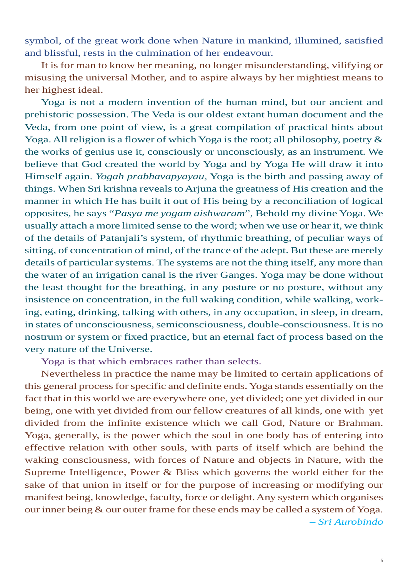symbol, of the great work done when Nature in mankind, illumined, satisfied and blissful, rests in the culmination of her endeavour.

It is for man to know her meaning, no longer misunderstanding, vilifying or misusing the universal Mother, and to aspire always by her mightiest means to her highest ideal.

Yoga is not a modern invention of the human mind, but our ancient and prehistoric possession. The Veda is our oldest extant human document and the Veda, from one point of view, is a great compilation of practical hints about Yoga. All religion is a flower of which Yoga is the root; all philosophy, poetry & the works of genius use it, consciously or unconsciously, as an instrument. We believe that God created the world by Yoga and by Yoga He will draw it into Himself again. *Yogah prabhavapyayau*, Yoga is the birth and passing away of things. When Sri krishna reveals to Arjuna the greatness of His creation and the manner in which He has built it out of His being by a reconciliation of logical opposites, he says "*Pasya me yogam aishwaram*", Behold my divine Yoga. We usually attach a more limited sense to the word; when we use or hear it, we think of the details of Patanjali's system, of rhythmic breathing, of peculiar ways of sitting, of concentration of mind, of the trance of the adept. But these are merely details of particular systems. The systems are not the thing itself, any more than the water of an irrigation canal is the river Ganges. Yoga may be done without the least thought for the breathing, in any posture or no posture, without any insistence on concentration, in the full waking condition, while walking, working, eating, drinking, talking with others, in any occupation, in sleep, in dream, in states of unconsciousness, semiconsciousness, double-consciousness. It is no nostrum or system or fixed practice, but an eternal fact of process based on the very nature of the Universe.

Yoga is that which embraces rather than selects.

Nevertheless in practice the name may be limited to certain applications of this general process for specific and definite ends. Yoga stands essentially on the fact that in this world we are everywhere one, yet divided; one yet divided in our being, one with yet divided from our fellow creatures of all kinds, one with yet divided from the infinite existence which we call God, Nature or Brahman. Yoga, generally, is the power which the soul in one body has of entering into effective relation with other souls, with parts of itself which are behind the waking consciousness, with forces of Nature and objects in Nature, with the Supreme Intelligence, Power & Bliss which governs the world either for the sake of that union in itself or for the purpose of increasing or modifying our manifest being, knowledge, faculty, force or delight. Any system which organises our inner being & our outer frame for these ends may be called a system of Yoga. – *Sri Aurobindo*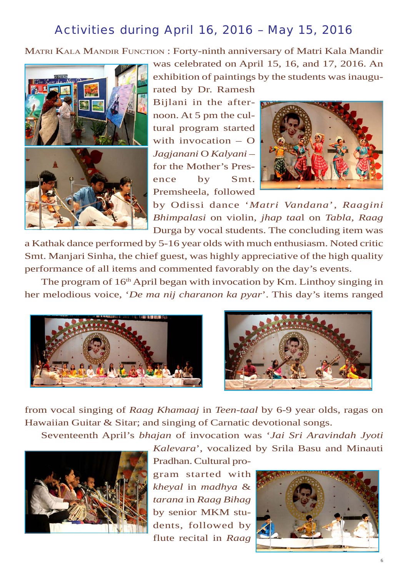## Activities during April 16, 2016 – May 15, 2016

MATRI KALA MANDIR FUNCTION : Forty-ninth anniversary of Matri Kala Mandir



was celebrated on April 15, 16, and 17, 2016. An exhibition of paintings by the students was inaugurated by Dr. Ramesh

Bijlani in the afternoon. At 5 pm the cultural program started with invocation  $-$  O *Jagjanani* O *Kalyani* – for the Mother's Presence by Smt. Premsheela, followed



by Odissi dance '*Matri Vandana*', *Raagini Bhimpalasi* on violin, *jhap taa*l on *Tabla*, *Raag* Durga by vocal students. The concluding item was

a Kathak dance performed by 5-16 year olds with much enthusiasm. Noted critic Smt. Manjari Sinha, the chief guest, was highly appreciative of the high quality performance of all items and commented favorably on the day's events.

The program of 16th April began with invocation by Km. Linthoy singing in her melodious voice, '*De ma nij charanon ka pyar*'. This day's items ranged





from vocal singing of *Raag Khamaaj* in *Teen-taal* by 6-9 year olds, ragas on Hawaiian Guitar & Sitar; and singing of Carnatic devotional songs.

Seventeenth April's *bhajan* of invocation was '*Jai Sri Aravindah Jyoti*



*Kalevara*', vocalized by Srila Basu and Minauti Pradhan. Cultural program started with *kheyal* in *madhya* & *tarana* in *Raag Bihag* by senior MKM students, followed by flute recital in *Raag*

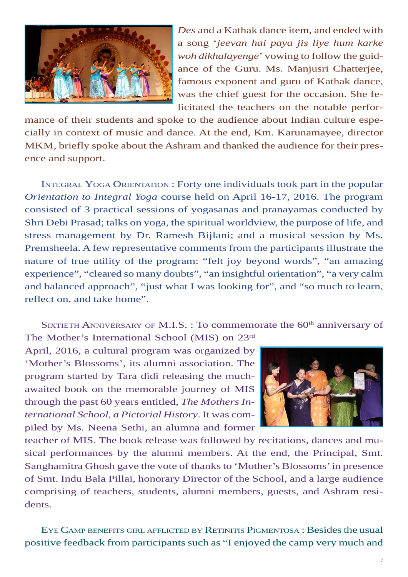

*Des* and a Kathak dance item, and ended with a song '*jeevan hai paya jis liye hum karke woh dikhalayenge*' vowing to follow the guidance of the Guru. Ms. Manjusri Chatterjee, famous exponent and guru of Kathak dance, was the chief guest for the occasion. She felicitated the teachers on the notable perfor-

mance of their students and spoke to the audience about Indian culture especially in context of music and dance. At the end, Km. Karunamayee, director MKM, briefly spoke about the Ashram and thanked the audience for their presence and support.

INTEGRAL YOGA ORIENTATION : Forty one individuals took part in the popular *Orientation to Integral Yoga* course held on April 16-17, 2016. The program consisted of 3 practical sessions of yogasanas and pranayamas conducted by Shri Debi Prasad; talks on yoga, the spiritual worldview, the purpose of life, and stress management by Dr. Ramesh Bijlani; and a musical session by Ms. Premsheela. A few representative comments from the participants illustrate the nature of true utility of the program: "felt joy beyond words", "an amazing experience", "cleared so many doubts", "an insightful orientation", "a very calm and balanced approach", "just what I was looking for", and "so much to learn, reflect on, and take home".

SIXTIETH ANNIVERSARY OF M.I.S. : To commemorate the  $60<sup>th</sup>$  anniversary of The Mother's International School (MIS) on 23rd

April, 2016, a cultural program was organized by 'Mother's Blossoms', its alumni association. The program started by Tara didi releasing the muchawaited book on the memorable journey of MIS through the past 60 years entitled, *The Mothers International School, a Pictorial History*. It was compiled by Ms. Neena Sethi, an alumna and former



teacher of MIS. The book release was followed by recitations, dances and musical performances by the alumni members. At the end, the Principal, Smt. Sanghamitra Ghosh gave the vote of thanks to 'Mother's Blossoms' in presence of Smt. Indu Bala Pillai, honorary Director of the School, and a large audience comprising of teachers, students, alumni members, guests, and Ashram residents.

EYE CAMP BENEFITS GIRL AFFLICTED BY RETINITIS PIGMENTOSA : Besides the usual positive feedback from participants such as "I enjoyed the camp very much and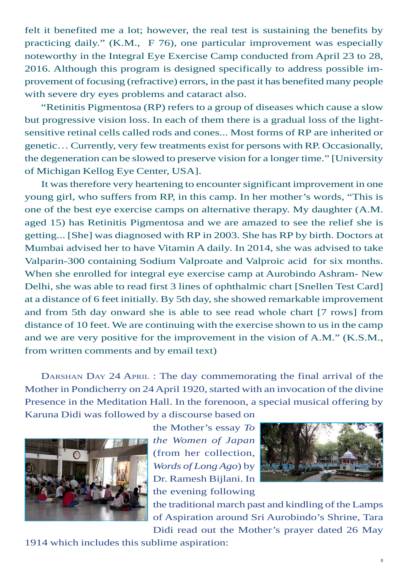felt it benefited me a lot; however, the real test is sustaining the benefits by practicing daily." (K.M., F 76), one particular improvement was especially noteworthy in the Integral Eye Exercise Camp conducted from April 23 to 28, 2016. Although this program is designed specifically to address possible improvement of focusing (refractive) errors, in the past it has benefited many people with severe dry eyes problems and cataract also.

"Retinitis Pigmentosa (RP) refers to a group of diseases which cause a slow but progressive vision loss. In each of them there is a gradual loss of the lightsensitive retinal cells called rods and cones... Most forms of RP are inherited or genetic… Currently, very few treatments exist for persons with RP. Occasionally, the degeneration can be slowed to preserve vision for a longer time." [University of Michigan Kellog Eye Center, USA].

It was therefore very heartening to encounter significant improvement in one young girl, who suffers from RP, in this camp. In her mother's words, "This is one of the best eye exercise camps on alternative therapy. My daughter (A.M. aged 15) has Retinitis Pigmentosa and we are amazed to see the relief she is getting... [She] was diagnosed with RP in 2003. She has RP by birth. Doctors at Mumbai advised her to have Vitamin A daily. In 2014, she was advised to take Valparin-300 containing Sodium Valproate and Valproic acid for six months. When she enrolled for integral eye exercise camp at Aurobindo Ashram- New Delhi, she was able to read first 3 lines of ophthalmic chart [Snellen Test Card] at a distance of 6 feet initially. By 5th day, she showed remarkable improvement and from 5th day onward she is able to see read whole chart [7 rows] from distance of 10 feet. We are continuing with the exercise shown to us in the camp and we are very positive for the improvement in the vision of A.M." (K.S.M., from written comments and by email text)

DARSHAN DAY 24 APRIL : The day commemorating the final arrival of the Mother in Pondicherry on 24 April 1920, started with an invocation of the divine Presence in the Meditation Hall. In the forenoon, a special musical offering by Karuna Didi was followed by a discourse based on



the Mother's essay *To the Women of Japan* (from her collection, *Words of Long Ago*) by Dr. Ramesh Bijlani. In the evening following



the traditional march past and kindling of the Lamps of Aspiration around Sri Aurobindo's Shrine, Tara

Didi read out the Mother's prayer dated 26 May

1914 which includes this sublime aspiration: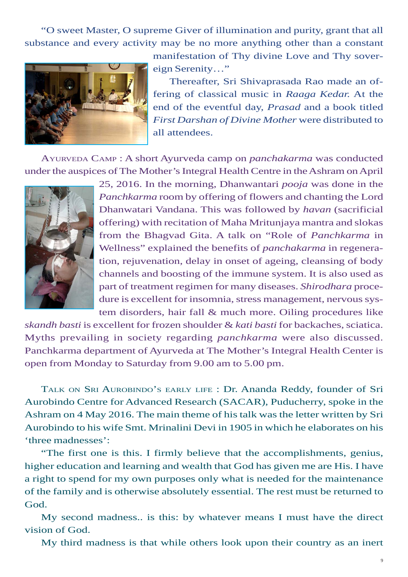"O sweet Master, O supreme Giver of illumination and purity, grant that all substance and every activity may be no more anything other than a constant



manifestation of Thy divine Love and Thy sovereign Serenity…"

Thereafter, Sri Shivaprasada Rao made an offering of classical music in *Raaga Kedar.* At the end of the eventful day, *Prasad* and a book titled *First Darshan of Divine Mother* were distributed to all attendees.

AYURVEDA CAMP : A short Ayurveda camp on *panchakarma* was conducted under the auspices of The Mother's Integral Health Centre in the Ashram on April



25, 2016. In the morning, Dhanwantari *pooja* was done in the *Panchkarma* room by offering of flowers and chanting the Lord Dhanwatari Vandana. This was followed by *havan* (sacrificial offering) with recitation of Maha Mritunjaya mantra and slokas from the Bhagvad Gita. A talk on "Role of *Panchkarma* in Wellness" explained the benefits of *panchakarma* in regeneration, rejuvenation, delay in onset of ageing, cleansing of body channels and boosting of the immune system. It is also used as part of treatment regimen for many diseases. *Shirodhara* procedure is excellent for insomnia, stress management, nervous system disorders, hair fall & much more. Oiling procedures like

*skandh basti* is excellent for frozen shoulder & *kati basti* for backaches, sciatica. Myths prevailing in society regarding *panchkarma* were also discussed. Panchkarma department of Ayurveda at The Mother's Integral Health Center is open from Monday to Saturday from 9.00 am to 5.00 pm.

TALK ON SRI AUROBINDO'S EARLY LIFE : Dr. Ananda Reddy, founder of Sri Aurobindo Centre for Advanced Research (SACAR), Puducherry, spoke in the Ashram on 4 May 2016. The main theme of his talk was the letter written by Sri Aurobindo to his wife Smt. Mrinalini Devi in 1905 in which he elaborates on his 'three madnesses':

"The first one is this. I firmly believe that the accomplishments, genius, higher education and learning and wealth that God has given me are His. I have a right to spend for my own purposes only what is needed for the maintenance of the family and is otherwise absolutely essential. The rest must be returned to God.

My second madness.. is this: by whatever means I must have the direct vision of God.

My third madness is that while others look upon their country as an inert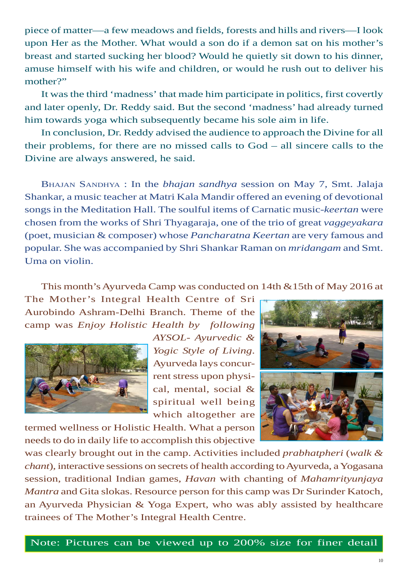piece of matter—a few meadows and fields, forests and hills and rivers—I look upon Her as the Mother. What would a son do if a demon sat on his mother's breast and started sucking her blood? Would he quietly sit down to his dinner, amuse himself with his wife and children, or would he rush out to deliver his mother?"

It was the third 'madness' that made him participate in politics, first covertly and later openly, Dr. Reddy said. But the second 'madness' had already turned him towards yoga which subsequently became his sole aim in life.

In conclusion, Dr. Reddy advised the audience to approach the Divine for all their problems, for there are no missed calls to God – all sincere calls to the Divine are always answered, he said.

BHAJAN SANDHYA : In the *bhajan sandhya* session on May 7, Smt. Jalaja Shankar, a music teacher at Matri Kala Mandir offered an evening of devotional songs in the Meditation Hall. The soulful items of Carnatic music-*keertan* were chosen from the works of Shri Thyagaraja, one of the trio of great *vaggeyakara* (poet, musician & composer) whose *Pancharatna Keertan* are very famous and popular. She was accompanied by Shri Shankar Raman on *mridangam* and Smt. Uma on violin.

This month's Ayurveda Camp was conducted on 14th &15th of May 2016 at

The Mother's Integral Health Centre of Sri Aurobindo Ashram-Delhi Branch. Theme of the camp was *Enjoy Holistic Health by following*



*AYSOL- Ayurvedic & Yogic Style of Living*. Ayurveda lays concurrent stress upon physical, mental, social & spiritual well being which altogether are

termed wellness or Holistic Health. What a person needs to do in daily life to accomplish this objective



was clearly brought out in the camp. Activities included *prabhatpheri* (*walk & chant*), interactive sessions on secrets of health according to Ayurveda, a Yogasana session, traditional Indian games, *Havan* with chanting of *Mahamrityunjaya Mantra* and Gita slokas. Resource person for this camp was Dr Surinder Katoch, an Ayurveda Physician & Yoga Expert, who was ably assisted by healthcare trainees of The Mother's Integral Health Centre.

Note: Pictures can be viewed up to 200% size for finer detail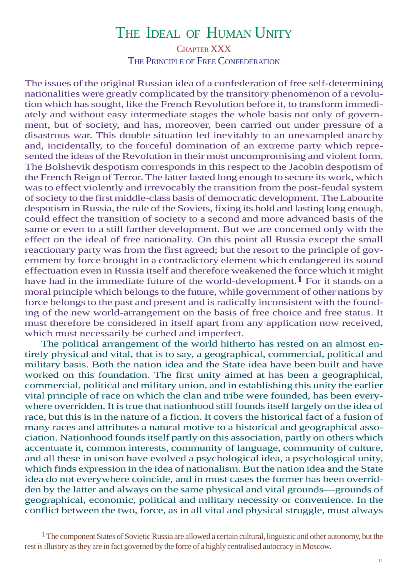## THE IDEAL OF HUMAN UNITY

CHAPTER XXX THE PRINCIPLE OF FREE CONFEDERATION

The issues of the original Russian idea of a confederation of free self-determining nationalities were greatly complicated by the transitory phenomenon of a revolution which has sought, like the French Revolution before it, to transform immediately and without easy intermediate stages the whole basis not only of government, but of society, and has, moreover, been carried out under pressure of a disastrous war. This double situation led inevitably to an unexampled anarchy and, incidentally, to the forceful domination of an extreme party which represented the ideas of the Revolution in their most uncompromising and violent form. The Bolshevik despotism corresponds in this respect to the Jacobin despotism of the French Reign of Terror. The latter lasted long enough to secure its work, which was to effect violently and irrevocably the transition from the post-feudal system of society to the first middle-class basis of democratic development. The Labourite despotism in Russia, the rule of the Soviets, fixing its hold and lasting long enough, could effect the transition of society to a second and more advanced basis of the same or even to a still farther development. But we are concerned only with the effect on the ideal of free nationality. On this point all Russia except the small reactionary party was from the first agreed; but the resort to the principle of government by force brought in a contradictory element which endangered its sound effectuation even in Russia itself and therefore weakened the force which it might have had in the immediate future of the world-development.**1** For it stands on a moral principle which belongs to the future, while government of other nations by force belongs to the past and present and is radically inconsistent with the founding of the new world-arrangement on the basis of free choice and free status. It must therefore be considered in itself apart from any application now received, which must necessarily be curbed and imperfect.

The political arrangement of the world hitherto has rested on an almost entirely physical and vital, that is to say, a geographical, commercial, political and military basis. Both the nation idea and the State idea have been built and have worked on this foundation. The first unity aimed at has been a geographical, commercial, political and military union, and in establishing this unity the earlier vital principle of race on which the clan and tribe were founded, has been everywhere overridden. It is true that nationhood still founds itself largely on the idea of race, but this is in the nature of a fiction. It covers the historical fact of a fusion of many races and attributes a natural motive to a historical and geographical association. Nationhood founds itself partly on this association, partly on others which accentuate it, common interests, community of language, community of culture, and all these in unison have evolved a psychological idea, a psychological unity, which finds expression in the idea of nationalism. But the nation idea and the State idea do not everywhere coincide, and in most cases the former has been overridden by the latter and always on the same physical and vital grounds—grounds of geographical, economic, political and military necessity or convenience. In the conflict between the two, force, as in all vital and physical struggle, must always

 $1$  The component States of Sovietic Russia are allowed a certain cultural, linguistic and other autonomy, but the rest is illusory as they are in fact governed by the force of a highly centralised autocracy in Moscow.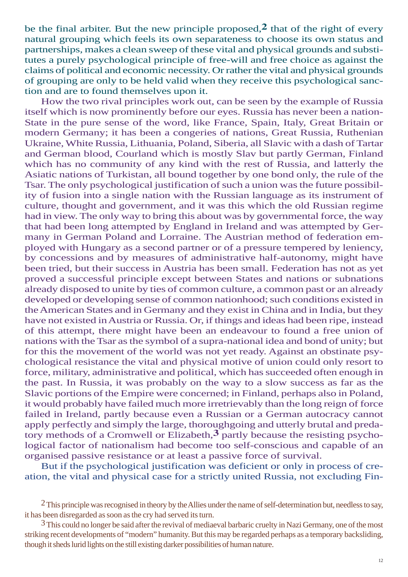be the final arbiter. But the new principle proposed,**2** that of the right of every natural grouping which feels its own separateness to choose its own status and partnerships, makes a clean sweep of these vital and physical grounds and substitutes a purely psychological principle of free-will and free choice as against the claims of political and economic necessity. Or rather the vital and physical grounds of grouping are only to be held valid when they receive this psychological sanction and are to found themselves upon it.

How the two rival principles work out, can be seen by the example of Russia itself which is now prominently before our eyes. Russia has never been a nation-State in the pure sense of the word, like France, Spain, Italy, Great Britain or modern Germany; it has been a congeries of nations, Great Russia, Ruthenian Ukraine, White Russia, Lithuania, Poland, Siberia, all Slavic with a dash of Tartar and German blood, Courland which is mostly Slav but partly German, Finland which has no community of any kind with the rest of Russia, and latterly the Asiatic nations of Turkistan, all bound together by one bond only, the rule of the Tsar. The only psychological justification of such a union was the future possibility of fusion into a single nation with the Russian language as its instrument of culture, thought and government, and it was this which the old Russian regime had in view. The only way to bring this about was by governmental force, the way that had been long attempted by England in Ireland and was attempted by Germany in German Poland and Lorraine. The Austrian method of federation employed with Hungary as a second partner or of a pressure tempered by leniency, by concessions and by measures of administrative half-autonomy, might have been tried, but their success in Austria has been small. Federation has not as yet proved a successful principle except between States and nations or subnations already disposed to unite by ties of common culture, a common past or an already developed or developing sense of common nationhood; such conditions existed in the American States and in Germany and they exist in China and in India, but they have not existed in Austria or Russia. Or, if things and ideas had been ripe, instead of this attempt, there might have been an endeavour to found a free union of nations with the Tsar as the symbol of a supra-national idea and bond of unity; but for this the movement of the world was not yet ready. Against an obstinate psychological resistance the vital and physical motive of union could only resort to force, military, administrative and political, which has succeeded often enough in the past. In Russia, it was probably on the way to a slow success as far as the Slavic portions of the Empire were concerned; in Finland, perhaps also in Poland, it would probably have failed much more irretrievably than the long reign of force failed in Ireland, partly because even a Russian or a German autocracy cannot apply perfectly and simply the large, thoroughgoing and utterly brutal and predatory methods of a Cromwell or Elizabeth,**3** partly because the resisting psychological factor of nationalism had become too self-conscious and capable of an organised passive resistance or at least a passive force of survival.

But if the psychological justification was deficient or only in process of creation, the vital and physical case for a strictly united Russia, not excluding Fin-

 $2$  This principle was recognised in theory by the Allies under the name of self-determination but, needless to say, it has been disregarded as soon as the cry had served its turn.

<sup>&</sup>lt;sup>3</sup> This could no longer be said after the revival of mediaeval barbaric cruelty in Nazi Germany, one of the most striking recent developments of "modern" humanity. But this may be regarded perhaps as a temporary backsliding, though it sheds lurid lights on the still existing darker possibilities of human nature.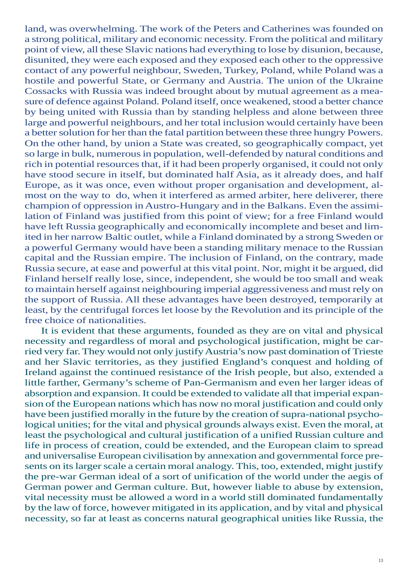land, was overwhelming. The work of the Peters and Catherines was founded on a strong political, military and economic necessity. From the political and military point of view, all these Slavic nations had everything to lose by disunion, because, disunited, they were each exposed and they exposed each other to the oppressive contact of any powerful neighbour, Sweden, Turkey, Poland, while Poland was a hostile and powerful State, or Germany and Austria. The union of the Ukraine Cossacks with Russia was indeed brought about by mutual agreement as a measure of defence against Poland. Poland itself, once weakened, stood a better chance by being united with Russia than by standing helpless and alone between three large and powerful neighbours, and her total inclusion would certainly have been a better solution for her than the fatal partition between these three hungry Powers. On the other hand, by union a State was created, so geographically compact, yet so large in bulk, numerous in population, well-defended by natural conditions and rich in potential resources that, if it had been properly organised, it could not only have stood secure in itself, but dominated half Asia, as it already does, and half Europe, as it was once, even without proper organisation and development, almost on the way to do, when it interfered as armed arbiter, here deliverer, there champion of oppression in Austro-Hungary and in the Balkans. Even the assimilation of Finland was justified from this point of view; for a free Finland would have left Russia geographically and economically incomplete and beset and limited in her narrow Baltic outlet, while a Finland dominated by a strong Sweden or a powerful Germany would have been a standing military menace to the Russian capital and the Russian empire. The inclusion of Finland, on the contrary, made Russia secure, at ease and powerful at this vital point. Nor, might it be argued, did Finland herself really lose, since, independent, she would be too small and weak to maintain herself against neighbouring imperial aggressiveness and must rely on the support of Russia. All these advantages have been destroyed, temporarily at least, by the centrifugal forces let loose by the Revolution and its principle of the free choice of nationalities.

It is evident that these arguments, founded as they are on vital and physical necessity and regardless of moral and psychological justification, might be carried very far. They would not only justify Austria's now past domination of Trieste and her Slavic territories, as they justified England's conquest and holding of Ireland against the continued resistance of the Irish people, but also, extended a little farther, Germany's scheme of Pan-Germanism and even her larger ideas of absorption and expansion. It could be extended to validate all that imperial expansion of the European nations which has now no moral justification and could only have been justified morally in the future by the creation of supra-national psychological unities; for the vital and physical grounds always exist. Even the moral, at least the psychological and cultural justification of a unified Russian culture and life in process of creation, could be extended, and the European claim to spread and universalise European civilisation by annexation and governmental force presents on its larger scale a certain moral analogy. This, too, extended, might justify the pre-war German ideal of a sort of unification of the world under the aegis of German power and German culture. But, however liable to abuse by extension, vital necessity must be allowed a word in a world still dominated fundamentally by the law of force, however mitigated in its application, and by vital and physical necessity, so far at least as concerns natural geographical unities like Russia, the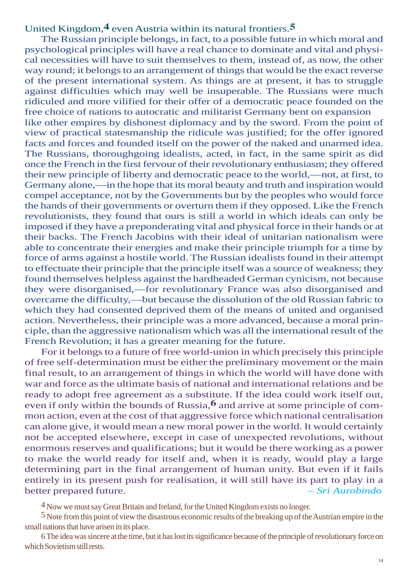#### United Kingdom,**4** even Austria within its natural frontiers.**5**

The Russian principle belongs, in fact, to a possible future in which moral and psychological principles will have a real chance to dominate and vital and physical necessities will have to suit themselves to them, instead of, as now, the other way round; it belongs to an arrangement of things that would be the exact reverse of the present international system. As things are at present, it has to struggle against difficulties which may well be insuperable. The Russians were much ridiculed and more vilified for their offer of a democratic peace founded on the free choice of nations to autocratic and militarist Germany bent on expansion like other empires by dishonest diplomacy and by the sword. From the point of view of practical statesmanship the ridicule was justified; for the offer ignored facts and forces and founded itself on the power of the naked and unarmed idea. The Russians, thoroughgoing idealists, acted, in fact, in the same spirit as did once the French in the first fervour of their revolutionary enthusiasm; they offered their new principle of liberty and democratic peace to the world,—not, at first, to Germany alone,—in the hope that its moral beauty and truth and inspiration would compel acceptance, not by the Governments but by the peoples who would force the hands of their governments or overturn them if they opposed. Like the French revolutionists, they found that ours is still a world in which ideals can only be imposed if they have a preponderating vital and physical force in their hands or at their backs. The French Jacobins with their ideal of unitarian nationalism were able to concentrate their energies and make their principle triumph for a time by force of arms against a hostile world. The Russian idealists found in their attempt to effectuate their principle that the principle itself was a source of weakness; they found themselves helpless against the hardheaded German cynicism, not because they were disorganised,—for revolutionary France was also disorganised and overcame the difficulty,—but because the dissolution of the old Russian fabric to which they had consented deprived them of the means of united and organised action. Nevertheless, their principle was a more advanced, because a moral principle, than the aggressive nationalism which was all the international result of the French Revolution; it has a greater meaning for the future.

For it belongs to a future of free world-union in which precisely this principle of free self-determination must be either the preliminary movement or the main final result, to an arrangement of things in which the world will have done with war and force as the ultimate basis of national and international relations and be ready to adopt free agreement as a substitute. If the idea could work itself out, even if only within the bounds of Russia,**6** and arrive at some principle of common action, even at the cost of that aggressive force which national centralisation can alone give, it would mean a new moral power in the world. It would certainly not be accepted elsewhere, except in case of unexpected revolutions, without enormous reserves and qualifications; but it would be there working as a power to make the world ready for itself and, when it is ready, would play a large determining part in the final arrangement of human unity. But even if it fails entirely in its present push for realisation, it will still have its part to play in a better prepared future. – *Sri Aurobindo*

4 Now we must say Great Britain and Ireland, for the United Kingdom exists no longer.

5 Note from this point of view the disastrous economic results of the breaking up of the Austrian empire in the small nations that have arisen in its place.

6 The idea was sincere at the time, but it has lost its significance because of the principle of revolutionary force on which Sovietism still rests.